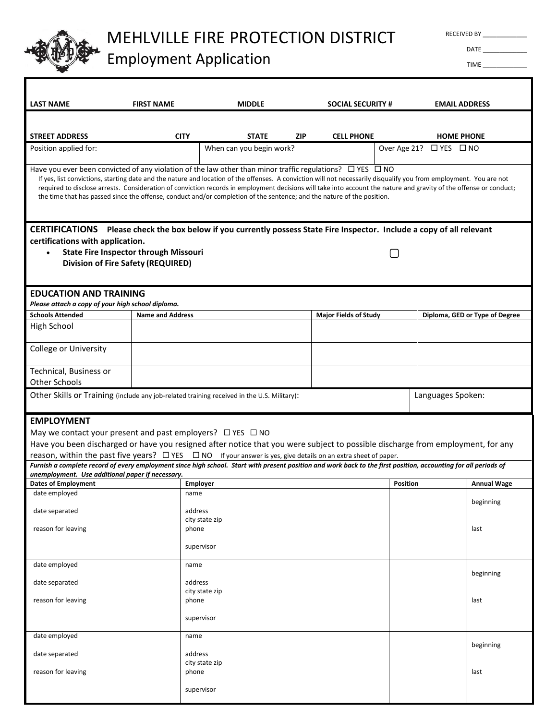

# MEHLVILLE FIRE PROTECTION DISTRICT

# Employment Application

RECEIVED BY

DATE \_\_\_\_\_\_\_\_\_\_\_\_\_ TIME \_\_\_\_\_\_\_\_\_\_\_\_\_

| <b>LAST NAME</b>                                                                                                                                                                                                                                                                                                                                                                                                                                                                                                                                                                          | <b>FIRST NAME</b>                                                                                                                                               | <b>MIDDLE</b>                            |            | <b>SOCIAL SECURITY #</b>     |                   | <b>EMAIL ADDRESS</b>              |                                |  |  |
|-------------------------------------------------------------------------------------------------------------------------------------------------------------------------------------------------------------------------------------------------------------------------------------------------------------------------------------------------------------------------------------------------------------------------------------------------------------------------------------------------------------------------------------------------------------------------------------------|-----------------------------------------------------------------------------------------------------------------------------------------------------------------|------------------------------------------|------------|------------------------------|-------------------|-----------------------------------|--------------------------------|--|--|
|                                                                                                                                                                                                                                                                                                                                                                                                                                                                                                                                                                                           |                                                                                                                                                                 |                                          |            |                              |                   |                                   |                                |  |  |
|                                                                                                                                                                                                                                                                                                                                                                                                                                                                                                                                                                                           |                                                                                                                                                                 |                                          |            |                              |                   |                                   |                                |  |  |
| <b>STREET ADDRESS</b><br>Position applied for:                                                                                                                                                                                                                                                                                                                                                                                                                                                                                                                                            | <b>CITY</b>                                                                                                                                                     | <b>STATE</b><br>When can you begin work? | <b>ZIP</b> | <b>CELL PHONE</b>            |                   | <b>HOME PHONE</b>                 |                                |  |  |
|                                                                                                                                                                                                                                                                                                                                                                                                                                                                                                                                                                                           |                                                                                                                                                                 |                                          |            |                              |                   | Over Age 21? $\Box$ YES $\Box$ NO |                                |  |  |
| Have you ever been convicted of any violation of the law other than minor traffic regulations? $\Box$ YES $\Box$ NO<br>If yes, list convictions, starting date and the nature and location of the offenses. A conviction will not necessarily disqualify you from employment. You are not<br>required to disclose arrests. Consideration of conviction records in employment decisions will take into account the nature and gravity of the offense or conduct;<br>the time that has passed since the offense, conduct and/or completion of the sentence; and the nature of the position. |                                                                                                                                                                 |                                          |            |                              |                   |                                   |                                |  |  |
| CERTIFICATIONS Please check the box below if you currently possess State Fire Inspector. Include a copy of all relevant                                                                                                                                                                                                                                                                                                                                                                                                                                                                   |                                                                                                                                                                 |                                          |            |                              |                   |                                   |                                |  |  |
| certifications with application.<br><b>State Fire Inspector through Missouri</b><br><b>Division of Fire Safety (REQUIRED)</b>                                                                                                                                                                                                                                                                                                                                                                                                                                                             |                                                                                                                                                                 |                                          |            |                              |                   |                                   |                                |  |  |
| <b>EDUCATION AND TRAINING</b>                                                                                                                                                                                                                                                                                                                                                                                                                                                                                                                                                             |                                                                                                                                                                 |                                          |            |                              |                   |                                   |                                |  |  |
| Please attach a copy of your high school diploma.                                                                                                                                                                                                                                                                                                                                                                                                                                                                                                                                         |                                                                                                                                                                 |                                          |            |                              |                   |                                   |                                |  |  |
| <b>Schools Attended</b>                                                                                                                                                                                                                                                                                                                                                                                                                                                                                                                                                                   | <b>Name and Address</b>                                                                                                                                         |                                          |            | <b>Major Fields of Study</b> |                   |                                   | Diploma, GED or Type of Degree |  |  |
| High School                                                                                                                                                                                                                                                                                                                                                                                                                                                                                                                                                                               |                                                                                                                                                                 |                                          |            |                              |                   |                                   |                                |  |  |
| <b>College or University</b>                                                                                                                                                                                                                                                                                                                                                                                                                                                                                                                                                              |                                                                                                                                                                 |                                          |            |                              |                   |                                   |                                |  |  |
| Technical, Business or                                                                                                                                                                                                                                                                                                                                                                                                                                                                                                                                                                    |                                                                                                                                                                 |                                          |            |                              |                   |                                   |                                |  |  |
| Other Schools                                                                                                                                                                                                                                                                                                                                                                                                                                                                                                                                                                             |                                                                                                                                                                 |                                          |            |                              |                   |                                   |                                |  |  |
| Other Skills or Training (include any job-related training received in the U.S. Military):                                                                                                                                                                                                                                                                                                                                                                                                                                                                                                |                                                                                                                                                                 |                                          |            |                              | Languages Spoken: |                                   |                                |  |  |
| <b>EMPLOYMENT</b>                                                                                                                                                                                                                                                                                                                                                                                                                                                                                                                                                                         |                                                                                                                                                                 |                                          |            |                              |                   |                                   |                                |  |  |
| May we contact your present and past employers? $\Box$ YES $\Box$ NO                                                                                                                                                                                                                                                                                                                                                                                                                                                                                                                      |                                                                                                                                                                 |                                          |            |                              |                   |                                   |                                |  |  |
| Have you been discharged or have you resigned after notice that you were subject to possible discharge from employment, for any                                                                                                                                                                                                                                                                                                                                                                                                                                                           |                                                                                                                                                                 |                                          |            |                              |                   |                                   |                                |  |  |
| reason, within the past five years? $\Box$ YES $\Box$ NO If your answer is yes, give details on an extra sheet of paper.                                                                                                                                                                                                                                                                                                                                                                                                                                                                  |                                                                                                                                                                 |                                          |            |                              |                   |                                   |                                |  |  |
|                                                                                                                                                                                                                                                                                                                                                                                                                                                                                                                                                                                           | Furnish a complete record of every employment since high school. Start with present position and work back to the first position, accounting for all periods of |                                          |            |                              |                   |                                   |                                |  |  |
| unemployment. Use additional paper if necessary.<br><b>Dates of Employment</b>                                                                                                                                                                                                                                                                                                                                                                                                                                                                                                            | <b>Employer</b>                                                                                                                                                 |                                          |            |                              | <b>Position</b>   |                                   | <b>Annual Wage</b>             |  |  |
| date employed                                                                                                                                                                                                                                                                                                                                                                                                                                                                                                                                                                             | name                                                                                                                                                            |                                          |            |                              |                   |                                   |                                |  |  |
|                                                                                                                                                                                                                                                                                                                                                                                                                                                                                                                                                                                           |                                                                                                                                                                 |                                          |            |                              |                   |                                   | beginning                      |  |  |
| date separated                                                                                                                                                                                                                                                                                                                                                                                                                                                                                                                                                                            | address                                                                                                                                                         |                                          |            |                              |                   |                                   |                                |  |  |
| reason for leaving                                                                                                                                                                                                                                                                                                                                                                                                                                                                                                                                                                        | phone                                                                                                                                                           | city state zip                           |            |                              |                   |                                   | last                           |  |  |
|                                                                                                                                                                                                                                                                                                                                                                                                                                                                                                                                                                                           |                                                                                                                                                                 |                                          |            |                              |                   |                                   |                                |  |  |
|                                                                                                                                                                                                                                                                                                                                                                                                                                                                                                                                                                                           |                                                                                                                                                                 | supervisor                               |            |                              |                   |                                   |                                |  |  |
| date employed                                                                                                                                                                                                                                                                                                                                                                                                                                                                                                                                                                             | name                                                                                                                                                            |                                          |            |                              |                   |                                   | beginning                      |  |  |
| date separated                                                                                                                                                                                                                                                                                                                                                                                                                                                                                                                                                                            | address                                                                                                                                                         | city state zip                           |            |                              |                   |                                   |                                |  |  |
| reason for leaving                                                                                                                                                                                                                                                                                                                                                                                                                                                                                                                                                                        | phone                                                                                                                                                           |                                          |            |                              |                   |                                   | last                           |  |  |
|                                                                                                                                                                                                                                                                                                                                                                                                                                                                                                                                                                                           |                                                                                                                                                                 |                                          |            |                              |                   |                                   |                                |  |  |
|                                                                                                                                                                                                                                                                                                                                                                                                                                                                                                                                                                                           |                                                                                                                                                                 | supervisor                               |            |                              |                   |                                   |                                |  |  |
| date employed                                                                                                                                                                                                                                                                                                                                                                                                                                                                                                                                                                             | name                                                                                                                                                            |                                          |            |                              |                   |                                   |                                |  |  |
| date separated                                                                                                                                                                                                                                                                                                                                                                                                                                                                                                                                                                            | address                                                                                                                                                         |                                          |            |                              |                   |                                   | beginning                      |  |  |
|                                                                                                                                                                                                                                                                                                                                                                                                                                                                                                                                                                                           |                                                                                                                                                                 | city state zip                           |            |                              |                   |                                   |                                |  |  |
| reason for leaving                                                                                                                                                                                                                                                                                                                                                                                                                                                                                                                                                                        | phone                                                                                                                                                           |                                          |            |                              |                   |                                   | last                           |  |  |
|                                                                                                                                                                                                                                                                                                                                                                                                                                                                                                                                                                                           |                                                                                                                                                                 | supervisor                               |            |                              |                   |                                   |                                |  |  |